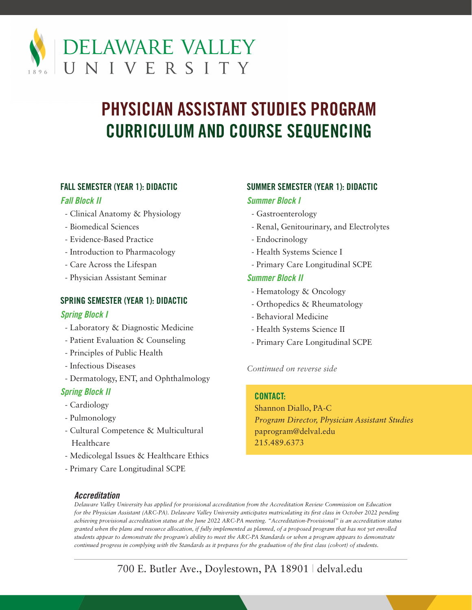

# **PHYSICIAN ASSISTANT STUDIES PROGRAM CURRICULUM AND COURSE SEQUENCING**

# **FALL SEMESTER (YEAR 1): DIDACTIC**

### *Fall Block II*

- Clinical Anatomy & Physiology
- Biomedical Sciences
- Evidence-Based Practice
- Introduction to Pharmacology
- Care Across the Lifespan
- Physician Assistant Seminar

# **SPRING SEMESTER (YEAR 1): DIDACTIC**

# *Spring Block I*

- Laboratory & Diagnostic Medicine
- Patient Evaluation & Counseling
- Principles of Public Health
- Infectious Diseases
- Dermatology, ENT, and Ophthalmology

# *Spring Block II*

- Cardiology
- Pulmonology
- Cultural Competence & Multicultural Healthcare
- Medicolegal Issues & Healthcare Ethics
- Primary Care Longitudinal SCPE

# **SUMMER SEMESTER (YEAR 1): DIDACTIC**

# *Summer Block I*

- Gastroenterology
- Renal, Genitourinary, and Electrolytes
- Endocrinology
- Health Systems Science I
- Primary Care Longitudinal SCPE

# *Summer Block II*

- Hematology & Oncology
- Orthopedics & Rheumatology
- Behavioral Medicine
- Health Systems Science II
- Primary Care Longitudinal SCPE

#### *Continued on reverse side*

#### **CONTACT:**

Shannon Diallo, PA-C *Program Director, Physician Assistant Studies* paprogram@delval.edu 215.489.6373

#### *Accreditation*

*Delaware Valley University has applied for provisional accreditation from the Accreditation Review Commission on Education for the Physician Assistant (ARC-PA). Delaware Valley University anticipates matriculating its first class in October 2022 pending achieving provisional accreditation status at the June 2022 ARC-PA meeting. "Accreditation-Provisional" is an accreditation status granted when the plans and resource allocation, if fully implemented as planned, of a proposed program that has not yet enrolled students appear to demonstrate the program's ability to meet the ARC-PA Standards or when a program appears to demonstrate continued progress in complying with the Standards as it prepares for the graduation of the first class (cohort) of students.*

700 E. Butler Ave., Doylestown, PA 18901 | delval.edu